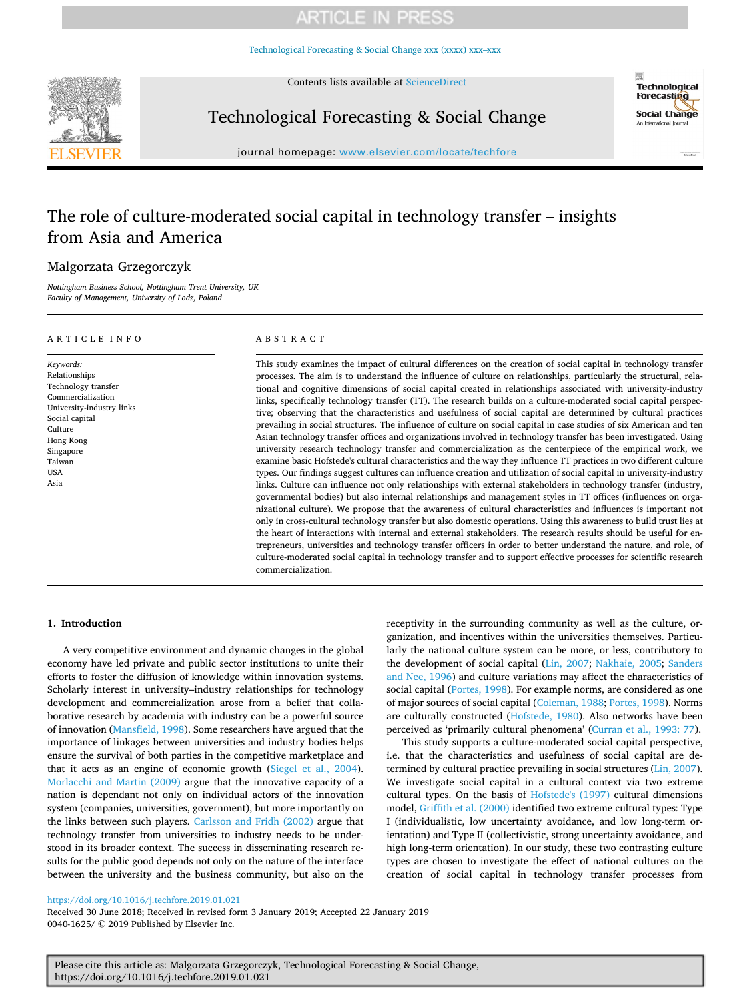[Technological Forecasting & Social Change xxx \(xxxx\) xxx–xxx](https://doi.org/10.1016/j.techfore.2019.01.021)

Contents lists available at [ScienceDirect](http://www.sciencedirect.com/science/journal/00401625)



# Technological Forecasting & Social Change



journal homepage: [www.elsevier.com/locate/techfore](https://www.elsevier.com/locate/techfore)

# The role of culture-moderated social capital in technology transfer – insights from Asia and America

# Malgorzata Grzegorczyk

*Nottingham Business School, Nottingham Trent University, UK Faculty of Management, University of Lodz, Poland*

## ARTICLE INFO

*Keywords:* Relationships Technology transfer Commercialization University-industry links Social capital Culture Hong Kong Singapore Taiwan USA Asia

### ABSTRACT

This study examines the impact of cultural differences on the creation of social capital in technology transfer processes. The aim is to understand the influence of culture on relationships, particularly the structural, relational and cognitive dimensions of social capital created in relationships associated with university-industry links, specifically technology transfer (TT). The research builds on a culture-moderated social capital perspective; observing that the characteristics and usefulness of social capital are determined by cultural practices prevailing in social structures. The influence of culture on social capital in case studies of six American and ten Asian technology transfer offices and organizations involved in technology transfer has been investigated. Using university research technology transfer and commercialization as the centerpiece of the empirical work, we examine basic Hofstede's cultural characteristics and the way they influence TT practices in two different culture types. Our findings suggest cultures can influence creation and utilization of social capital in university-industry links. Culture can influence not only relationships with external stakeholders in technology transfer (industry, governmental bodies) but also internal relationships and management styles in TT offices (influences on organizational culture). We propose that the awareness of cultural characteristics and influences is important not only in cross-cultural technology transfer but also domestic operations. Using this awareness to build trust lies at the heart of interactions with internal and external stakeholders. The research results should be useful for entrepreneurs, universities and technology transfer officers in order to better understand the nature, and role, of culture-moderated social capital in technology transfer and to support effective processes for scientific research commercialization.

## **1. Introduction**

A very competitive environment and dynamic changes in the global economy have led private and public sector institutions to unite their efforts to foster the diffusion of knowledge within innovation systems. Scholarly interest in university–industry relationships for technology development and commercialization arose from a belief that collaborative research by academia with industry can be a powerful source of innovation ([Mansfield, 1998](#page-9-0)). Some researchers have argued that the importance of linkages between universities and industry bodies helps ensure the survival of both parties in the competitive marketplace and that it acts as an engine of economic growth ([Siegel et al., 2004](#page-9-1)). [Morlacchi and Martin \(2009\)](#page-9-2) argue that the innovative capacity of a nation is dependant not only on individual actors of the innovation system (companies, universities, government), but more importantly on the links between such players. [Carlsson and Fridh \(2002\)](#page-9-3) argue that technology transfer from universities to industry needs to be understood in its broader context. The success in disseminating research results for the public good depends not only on the nature of the interface between the university and the business community, but also on the receptivity in the surrounding community as well as the culture, organization, and incentives within the universities themselves. Particularly the national culture system can be more, or less, contributory to the development of social capital ([Lin, 2007](#page-9-4); [Nakhaie, 2005;](#page-9-5) [Sanders](#page-9-6) [and Nee, 1996](#page-9-6)) and culture variations may affect the characteristics of social capital ([Portes, 1998](#page-9-7)). For example norms, are considered as one of major sources of social capital ([Coleman, 1988](#page-9-8); [Portes, 1998](#page-9-7)). Norms are culturally constructed ([Hofstede, 1980](#page-9-9)). Also networks have been perceived as 'primarily cultural phenomena' ([Curran et al., 1993: 77](#page-9-10)).

This study supports a culture-moderated social capital perspective, i.e. that the characteristics and usefulness of social capital are determined by cultural practice prevailing in social structures [\(Lin, 2007](#page-9-4)). We investigate social capital in a cultural context via two extreme cultural types. On the basis of [Hofstede's \(1997\)](#page-9-11) cultural dimensions model, [Griffith et al. \(2000\)](#page-9-12) identified two extreme cultural types: Type I (individualistic, low uncertainty avoidance, and low long-term orientation) and Type II (collectivistic, strong uncertainty avoidance, and high long-term orientation). In our study, these two contrasting culture types are chosen to investigate the effect of national cultures on the creation of social capital in technology transfer processes from

## <https://doi.org/10.1016/j.techfore.2019.01.021>

Received 30 June 2018; Received in revised form 3 January 2019; Accepted 22 January 2019 0040-1625/ © 2019 Published by Elsevier Inc.

Please cite this article as: Malgorzata Grzegorczyk, Technological Forecasting & Social Change, https://doi.org/10.1016/j.techfore.2019.01.021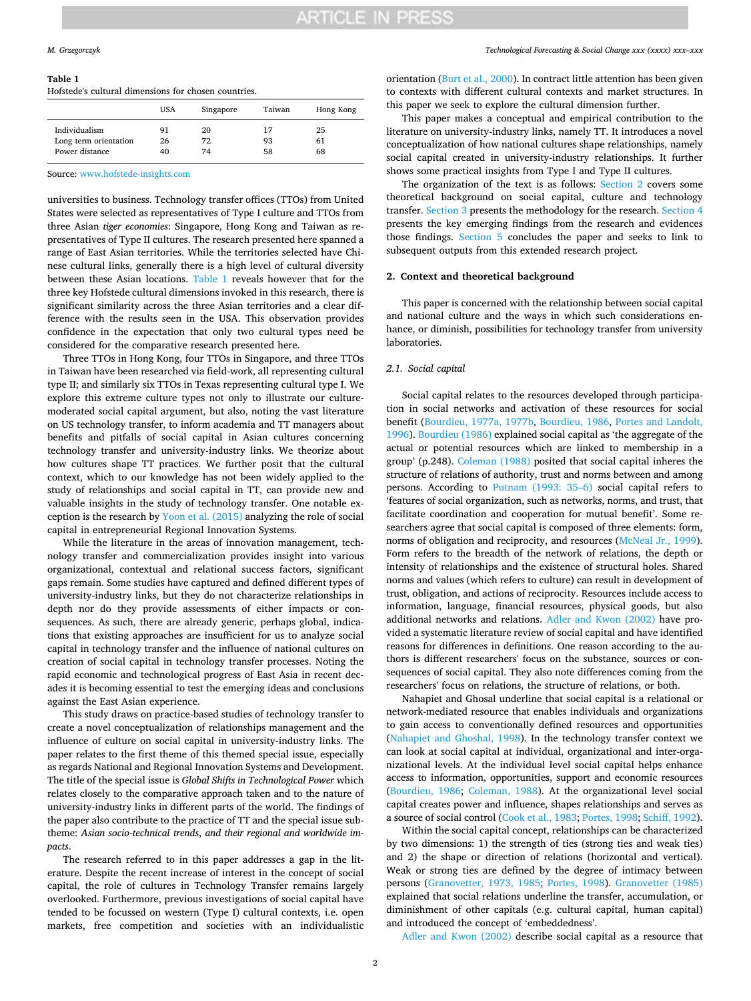### <span id="page-1-0"></span>**Table 1**

Hofstede's cultural dimensions for chosen countries.

|                       | <b>USA</b> | Singapore | Taiwan | Hong Kong |
|-----------------------|------------|-----------|--------|-----------|
| Individualism         | 91         | 20        | 17     | 25        |
| Long term orientation | 26         | 72        | 93     | 61        |
| Power distance        | 40         | 74        | 58     | 68        |

Source: [www.hofstede-insights.com](http://www.hofstede-insights.com)

universities to business. Technology transfer offices (TTOs) from United States were selected as representatives of Type I culture and TTOs from three Asian *tiger economies*: Singapore, Hong Kong and Taiwan as representatives of Type II cultures. The research presented here spanned a range of East Asian territories. While the territories selected have Chinese cultural links, generally there is a high level of cultural diversity between these Asian locations. [Table 1](#page-1-0) reveals however that for the three key Hofstede cultural dimensions invoked in this research, there is significant similarity across the three Asian territories and a clear difference with the results seen in the USA. This observation provides confidence in the expectation that only two cultural types need be considered for the comparative research presented here.

Three TTOs in Hong Kong, four TTOs in Singapore, and three TTOs in Taiwan have been researched via field-work, all representing cultural type II; and similarly six TTOs in Texas representing cultural type I. We explore this extreme culture types not only to illustrate our culturemoderated social capital argument, but also, noting the vast literature on US technology transfer, to inform academia and TT managers about benefits and pitfalls of social capital in Asian cultures concerning technology transfer and university-industry links. We theorize about how cultures shape TT practices. We further posit that the cultural context, which to our knowledge has not been widely applied to the study of relationships and social capital in TT, can provide new and valuable insights in the study of technology transfer. One notable exception is the research by [Yoon et al. \(2015\)](#page-9-13) analyzing the role of social capital in entrepreneurial Regional Innovation Systems.

While the literature in the areas of innovation management, technology transfer and commercialization provides insight into various organizational, contextual and relational success factors, significant gaps remain. Some studies have captured and defined different types of university-industry links, but they do not characterize relationships in depth nor do they provide assessments of either impacts or consequences. As such, there are already generic, perhaps global, indications that existing approaches are insufficient for us to analyze social capital in technology transfer and the influence of national cultures on creation of social capital in technology transfer processes. Noting the rapid economic and technological progress of East Asia in recent decades it is becoming essential to test the emerging ideas and conclusions against the East Asian experience.

This study draws on practice-based studies of technology transfer to create a novel conceptualization of relationships management and the influence of culture on social capital in university-industry links. The paper relates to the first theme of this themed special issue, especially as regards National and Regional Innovation Systems and Development. The title of the special issue is *Global Shifts in Technological Power* which relates closely to the comparative approach taken and to the nature of university-industry links in different parts of the world. The findings of the paper also contribute to the practice of TT and the special issue subtheme: *Asian socio*-*technical trends*, *and their regional and worldwide impacts*.

The research referred to in this paper addresses a gap in the literature. Despite the recent increase of interest in the concept of social capital, the role of cultures in Technology Transfer remains largely overlooked. Furthermore, previous investigations of social capital have tended to be focussed on western (Type I) cultural contexts, i.e. open markets, free competition and societies with an individualistic

orientation ([Burt et al., 2000\)](#page-9-14). In contract little attention has been given to contexts with different cultural contexts and market structures. In this paper we seek to explore the cultural dimension further.

This paper makes a conceptual and empirical contribution to the literature on university-industry links, namely TT. It introduces a novel conceptualization of how national cultures shape relationships, namely social capital created in university-industry relationships. It further shows some practical insights from Type I and Type II cultures.

The organization of the text is as follows: [Section 2](#page-1-1) covers some theoretical background on social capital, culture and technology transfer. [Section 3](#page-2-0) presents the methodology for the research. [Section 4](#page-3-0) presents the key emerging findings from the research and evidences those findings. [Section 5](#page-7-0) concludes the paper and seeks to link to subsequent outputs from this extended research project.

## <span id="page-1-1"></span>**2. Context and theoretical background**

This paper is concerned with the relationship between social capital and national culture and the ways in which such considerations enhance, or diminish, possibilities for technology transfer from university laboratories.

### *2.1. Social capital*

Social capital relates to the resources developed through participation in social networks and activation of these resources for social benefit ([Bourdieu, 1977a, 1977b](#page-9-15), [Bourdieu, 1986](#page-9-16), [Portes and Landolt,](#page-9-17) [1996\)](#page-9-17). [Bourdieu \(1986\)](#page-9-16) explained social capital as 'the aggregate of the actual or potential resources which are linked to membership in a group' (p.248). [Coleman \(1988\)](#page-9-8) posited that social capital inheres the structure of relations of authority, trust and norms between and among persons. According to [Putnam \(1993: 35–6\)](#page-9-18) social capital refers to 'features of social organization, such as networks, norms, and trust, that facilitate coordination and cooperation for mutual benefit'. Some researchers agree that social capital is composed of three elements: form, norms of obligation and reciprocity, and resources [\(McNeal Jr., 1999](#page-9-19)). Form refers to the breadth of the network of relations, the depth or intensity of relationships and the existence of structural holes. Shared norms and values (which refers to culture) can result in development of trust, obligation, and actions of reciprocity. Resources include access to information, language, financial resources, physical goods, but also additional networks and relations. [Adler and Kwon \(2002\)](#page-9-20) have provided a systematic literature review of social capital and have identified reasons for differences in definitions. One reason according to the authors is different researchers' focus on the substance, sources or consequences of social capital. They also note differences coming from the researchers' focus on relations, the structure of relations, or both.

Nahapiet and Ghosal underline that social capital is a relational or network-mediated resource that enables individuals and organizations to gain access to conventionally defined resources and opportunities ([Nahapiet and Ghoshal, 1998\)](#page-9-21). In the technology transfer context we can look at social capital at individual, organizational and inter-organizational levels. At the individual level social capital helps enhance access to information, opportunities, support and economic resources ([Bourdieu, 1986;](#page-9-16) [Coleman, 1988\)](#page-9-8). At the organizational level social capital creates power and influence, shapes relationships and serves as a source of social control [\(Cook et al., 1983;](#page-9-22) [Portes, 1998](#page-9-7); [Schiff, 1992](#page-9-23)).

Within the social capital concept, relationships can be characterized by two dimensions: 1) the strength of ties (strong ties and weak ties) and 2) the shape or direction of relations (horizontal and vertical). Weak or strong ties are defined by the degree of intimacy between persons ([Granovetter, 1973, 1985;](#page-9-24) [Portes, 1998\)](#page-9-7). [Granovetter \(1985\)](#page-9-25) explained that social relations underline the transfer, accumulation, or diminishment of other capitals (e.g. cultural capital, human capital) and introduced the concept of 'embeddedness'.

[Adler and Kwon \(2002\)](#page-9-20) describe social capital as a resource that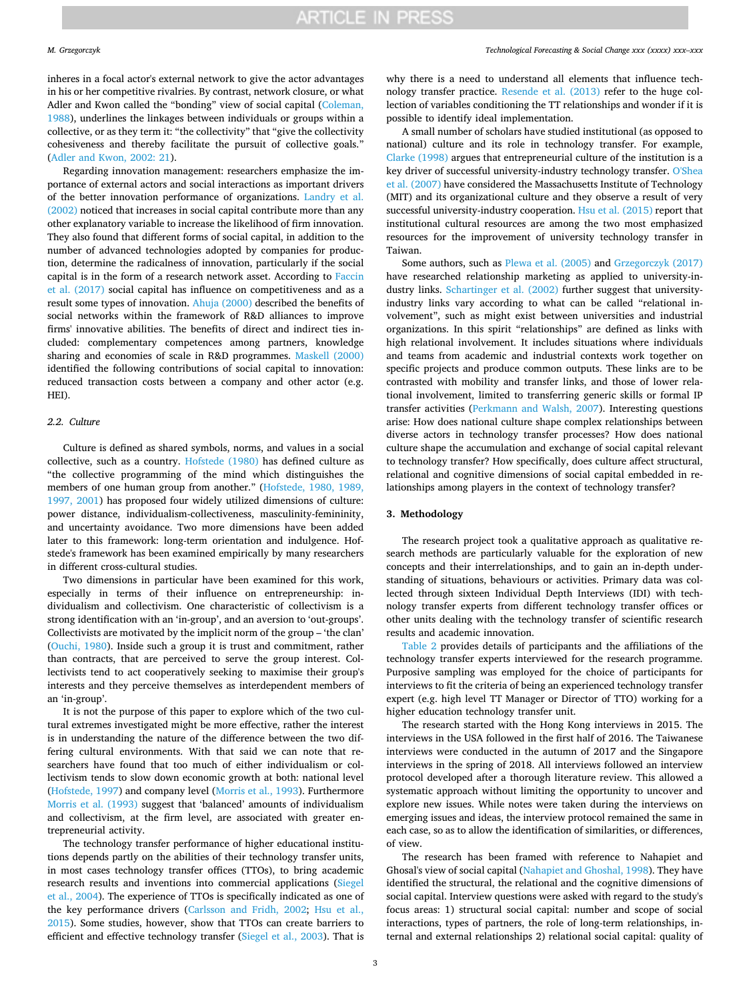inheres in a focal actor's external network to give the actor advantages in his or her competitive rivalries. By contrast, network closure, or what Adler and Kwon called the "bonding" view of social capital [\(Coleman,](#page-9-8) [1988\)](#page-9-8), underlines the linkages between individuals or groups within a collective, or as they term it: "the collectivity" that "give the collectivity cohesiveness and thereby facilitate the pursuit of collective goals." ([Adler and Kwon, 2002: 21](#page-9-20)).

Regarding innovation management: researchers emphasize the importance of external actors and social interactions as important drivers of the better innovation performance of organizations. [Landry et al.](#page-9-26) [\(2002\)](#page-9-26) noticed that increases in social capital contribute more than any other explanatory variable to increase the likelihood of firm innovation. They also found that different forms of social capital, in addition to the number of advanced technologies adopted by companies for production, determine the radicalness of innovation, particularly if the social capital is in the form of a research network asset. According to [Faccin](#page-9-27) [et al. \(2017\)](#page-9-27) social capital has influence on competitiveness and as a result some types of innovation. [Ahuja \(2000\)](#page-9-28) described the benefits of social networks within the framework of R&D alliances to improve firms' innovative abilities. The benefits of direct and indirect ties included: complementary competences among partners, knowledge sharing and economies of scale in R&D programmes. [Maskell \(2000\)](#page-9-29) identified the following contributions of social capital to innovation: reduced transaction costs between a company and other actor (e.g. HEI).

# *2.2. Culture*

Culture is defined as shared symbols, norms, and values in a social collective, such as a country. [Hofstede \(1980\)](#page-9-9) has defined culture as "the collective programming of the mind which distinguishes the members of one human group from another." ([Hofstede, 1980, 1989,](#page-9-9) [1997, 2001\)](#page-9-9) has proposed four widely utilized dimensions of culture: power distance, individualism-collectiveness, masculinity-femininity, and uncertainty avoidance. Two more dimensions have been added later to this framework: long-term orientation and indulgence. Hofstede's framework has been examined empirically by many researchers in different cross-cultural studies.

Two dimensions in particular have been examined for this work, especially in terms of their influence on entrepreneurship: individualism and collectivism. One characteristic of collectivism is a strong identification with an 'in-group', and an aversion to 'out-groups'. Collectivists are motivated by the implicit norm of the group – 'the clan' ([Ouchi, 1980\)](#page-9-30). Inside such a group it is trust and commitment, rather than contracts, that are perceived to serve the group interest. Collectivists tend to act cooperatively seeking to maximise their group's interests and they perceive themselves as interdependent members of an 'in-group'.

It is not the purpose of this paper to explore which of the two cultural extremes investigated might be more effective, rather the interest is in understanding the nature of the difference between the two differing cultural environments. With that said we can note that researchers have found that too much of either individualism or collectivism tends to slow down economic growth at both: national level ([Hofstede, 1997](#page-9-11)) and company level [\(Morris et al., 1993\)](#page-9-31). Furthermore [Morris et al. \(1993\)](#page-9-31) suggest that 'balanced' amounts of individualism and collectivism, at the firm level, are associated with greater entrepreneurial activity.

The technology transfer performance of higher educational institutions depends partly on the abilities of their technology transfer units, in most cases technology transfer offices (TTOs), to bring academic research results and inventions into commercial applications ([Siegel](#page-9-1) [et al., 2004\)](#page-9-1). The experience of TTOs is specifically indicated as one of the key performance drivers [\(Carlsson and Fridh, 2002](#page-9-3); [Hsu et al.,](#page-9-32) [2015\)](#page-9-32). Some studies, however, show that TTOs can create barriers to efficient and effective technology transfer ([Siegel et al., 2003](#page-9-33)). That is

# *M. Grzegorczyk Technological Forecasting & Social Change xxx (xxxx) xxx–xxx*

why there is a need to understand all elements that influence technology transfer practice. [Resende et al. \(2013\)](#page-9-34) refer to the huge collection of variables conditioning the TT relationships and wonder if it is possible to identify ideal implementation.

A small number of scholars have studied institutional (as opposed to national) culture and its role in technology transfer. For example, [Clarke \(1998\)](#page-9-35) argues that entrepreneurial culture of the institution is a key driver of successful university-industry technology transfer. [O'Shea](#page-9-36) [et al. \(2007\)](#page-9-36) have considered the Massachusetts Institute of Technology (MIT) and its organizational culture and they observe a result of very successful university-industry cooperation. [Hsu et al. \(2015\)](#page-9-32) report that institutional cultural resources are among the two most emphasized resources for the improvement of university technology transfer in Taiwan.

Some authors, such as [Plewa et al. \(2005\)](#page-9-37) and [Grzegorczyk \(2017\)](#page-9-38) have researched relationship marketing as applied to university-industry links. [Schartinger et al. \(2002\)](#page-9-39) further suggest that universityindustry links vary according to what can be called "relational involvement", such as might exist between universities and industrial organizations. In this spirit "relationships" are defined as links with high relational involvement. It includes situations where individuals and teams from academic and industrial contexts work together on specific projects and produce common outputs. These links are to be contrasted with mobility and transfer links, and those of lower relational involvement, limited to transferring generic skills or formal IP transfer activities ([Perkmann and Walsh, 2007](#page-9-40)). Interesting questions arise: How does national culture shape complex relationships between diverse actors in technology transfer processes? How does national culture shape the accumulation and exchange of social capital relevant to technology transfer? How specifically, does culture affect structural, relational and cognitive dimensions of social capital embedded in relationships among players in the context of technology transfer?

# <span id="page-2-0"></span>**3. Methodology**

The research project took a qualitative approach as qualitative research methods are particularly valuable for the exploration of new concepts and their interrelationships, and to gain an in-depth understanding of situations, behaviours or activities. Primary data was collected through sixteen Individual Depth Interviews (IDI) with technology transfer experts from different technology transfer offices or other units dealing with the technology transfer of scientific research results and academic innovation.

[Table 2](#page-3-1) provides details of participants and the affiliations of the technology transfer experts interviewed for the research programme. Purposive sampling was employed for the choice of participants for interviews to fit the criteria of being an experienced technology transfer expert (e.g. high level TT Manager or Director of TTO) working for a higher education technology transfer unit.

The research started with the Hong Kong interviews in 2015. The interviews in the USA followed in the first half of 2016. The Taiwanese interviews were conducted in the autumn of 2017 and the Singapore interviews in the spring of 2018. All interviews followed an interview protocol developed after a thorough literature review. This allowed a systematic approach without limiting the opportunity to uncover and explore new issues. While notes were taken during the interviews on emerging issues and ideas, the interview protocol remained the same in each case, so as to allow the identification of similarities, or differences, of view.

The research has been framed with reference to Nahapiet and Ghosal's view of social capital [\(Nahapiet and Ghoshal, 1998](#page-9-21)). They have identified the structural, the relational and the cognitive dimensions of social capital. Interview questions were asked with regard to the study's focus areas: 1) structural social capital: number and scope of social interactions, types of partners, the role of long-term relationships, internal and external relationships 2) relational social capital: quality of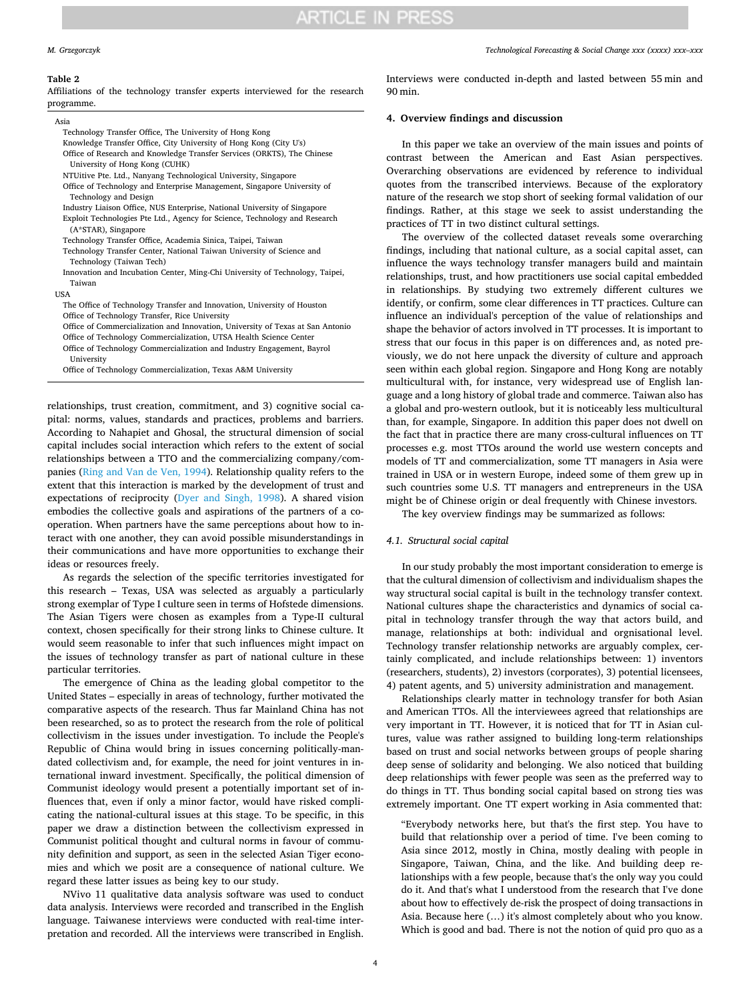### <span id="page-3-1"></span>**Table 2**

Affiliations of the technology transfer experts interviewed for the research programme.

| Asia                                                                                 |
|--------------------------------------------------------------------------------------|
| Technology Transfer Office, The University of Hong Kong                              |
| Knowledge Transfer Office, City University of Hong Kong (City U's)                   |
| Office of Research and Knowledge Transfer Services (ORKTS), The Chinese              |
| University of Hong Kong (CUHK)                                                       |
| NTUitive Pte. Ltd., Nanyang Technological University, Singapore                      |
| Office of Technology and Enterprise Management, Singapore University of              |
| Technology and Design                                                                |
| Industry Liaison Office, NUS Enterprise, National University of Singapore            |
| Exploit Technologies Pte Ltd., Agency for Science, Technology and Research           |
| (A*STAR), Singapore                                                                  |
| Technology Transfer Office, Academia Sinica, Taipei, Taiwan                          |
| Technology Transfer Center, National Taiwan University of Science and                |
| Technology (Taiwan Tech)                                                             |
| Innovation and Incubation Center, Ming-Chi University of Technology, Taipei,         |
| Taiwan                                                                               |
| <b>USA</b>                                                                           |
| The Office of Technology Transfer and Innovation, University of Houston              |
| Office of Technology Transfer, Rice University                                       |
| Office of Commercialization and Innovation, University of Texas at San Antonio       |
| Office of Technology Commercialization, UTSA Health Science Center                   |
| Office of Technology Commercialization and Industry Engagement, Bayrol<br>University |
| Office of Technology Commercialization, Texas A&M University                         |

relationships, trust creation, commitment, and 3) cognitive social capital: norms, values, standards and practices, problems and barriers. According to Nahapiet and Ghosal, the structural dimension of social capital includes social interaction which refers to the extent of social relationships between a TTO and the commercializing company/companies ([Ring and Van de Ven, 1994\)](#page-9-41). Relationship quality refers to the extent that this interaction is marked by the development of trust and expectations of reciprocity ([Dyer and Singh, 1998](#page-9-42)). A shared vision embodies the collective goals and aspirations of the partners of a cooperation. When partners have the same perceptions about how to interact with one another, they can avoid possible misunderstandings in their communications and have more opportunities to exchange their ideas or resources freely.

As regards the selection of the specific territories investigated for this research – Texas, USA was selected as arguably a particularly strong exemplar of Type I culture seen in terms of Hofstede dimensions. The Asian Tigers were chosen as examples from a Type-II cultural context, chosen specifically for their strong links to Chinese culture. It would seem reasonable to infer that such influences might impact on the issues of technology transfer as part of national culture in these particular territories.

The emergence of China as the leading global competitor to the United States – especially in areas of technology, further motivated the comparative aspects of the research. Thus far Mainland China has not been researched, so as to protect the research from the role of political collectivism in the issues under investigation. To include the People's Republic of China would bring in issues concerning politically-mandated collectivism and, for example, the need for joint ventures in international inward investment. Specifically, the political dimension of Communist ideology would present a potentially important set of influences that, even if only a minor factor, would have risked complicating the national-cultural issues at this stage. To be specific, in this paper we draw a distinction between the collectivism expressed in Communist political thought and cultural norms in favour of community definition and support, as seen in the selected Asian Tiger economies and which we posit are a consequence of national culture. We regard these latter issues as being key to our study.

NVivo 11 qualitative data analysis software was used to conduct data analysis. Interviews were recorded and transcribed in the English language. Taiwanese interviews were conducted with real-time interpretation and recorded. All the interviews were transcribed in English.

Interviews were conducted in-depth and lasted between 55 min and 90 min.

## <span id="page-3-0"></span>**4. Overview findings and discussion**

In this paper we take an overview of the main issues and points of contrast between the American and East Asian perspectives. Overarching observations are evidenced by reference to individual quotes from the transcribed interviews. Because of the exploratory nature of the research we stop short of seeking formal validation of our findings. Rather, at this stage we seek to assist understanding the practices of TT in two distinct cultural settings.

The overview of the collected dataset reveals some overarching findings, including that national culture, as a social capital asset, can influence the ways technology transfer managers build and maintain relationships, trust, and how practitioners use social capital embedded in relationships. By studying two extremely different cultures we identify, or confirm, some clear differences in TT practices. Culture can influence an individual's perception of the value of relationships and shape the behavior of actors involved in TT processes. It is important to stress that our focus in this paper is on differences and, as noted previously, we do not here unpack the diversity of culture and approach seen within each global region. Singapore and Hong Kong are notably multicultural with, for instance, very widespread use of English language and a long history of global trade and commerce. Taiwan also has a global and pro-western outlook, but it is noticeably less multicultural than, for example, Singapore. In addition this paper does not dwell on the fact that in practice there are many cross-cultural influences on TT processes e.g. most TTOs around the world use western concepts and models of TT and commercialization, some TT managers in Asia were trained in USA or in western Europe, indeed some of them grew up in such countries some U.S. TT managers and entrepreneurs in the USA might be of Chinese origin or deal frequently with Chinese investors.

The key overview findings may be summarized as follows:

### *4.1. Structural social capital*

In our study probably the most important consideration to emerge is that the cultural dimension of collectivism and individualism shapes the way structural social capital is built in the technology transfer context. National cultures shape the characteristics and dynamics of social capital in technology transfer through the way that actors build, and manage, relationships at both: individual and orgnisational level. Technology transfer relationship networks are arguably complex, certainly complicated, and include relationships between: 1) inventors (researchers, students), 2) investors (corporates), 3) potential licensees, 4) patent agents, and 5) university administration and management.

Relationships clearly matter in technology transfer for both Asian and American TTOs. All the interviewees agreed that relationships are very important in TT. However, it is noticed that for TT in Asian cultures, value was rather assigned to building long-term relationships based on trust and social networks between groups of people sharing deep sense of solidarity and belonging. We also noticed that building deep relationships with fewer people was seen as the preferred way to do things in TT. Thus bonding social capital based on strong ties was extremely important. One TT expert working in Asia commented that:

"Everybody networks here, but that's the first step. You have to build that relationship over a period of time. I've been coming to Asia since 2012, mostly in China, mostly dealing with people in Singapore, Taiwan, China, and the like. And building deep relationships with a few people, because that's the only way you could do it. And that's what I understood from the research that I've done about how to effectively de-risk the prospect of doing transactions in Asia. Because here (…) it's almost completely about who you know. Which is good and bad. There is not the notion of quid pro quo as a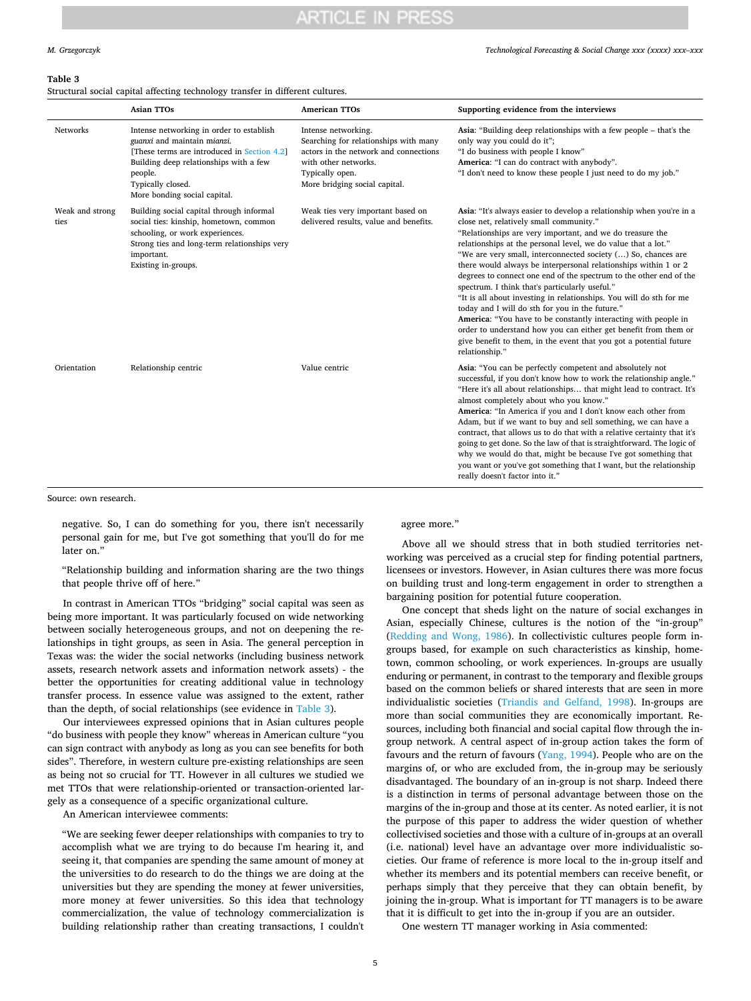### <span id="page-4-0"></span>**Table 3**

Structural social capital affecting technology transfer in different cultures.

|                         | <b>Asian TTOs</b>                                                                                                                                                                                                                | <b>American TTOs</b>                                                                                                                                                              | Supporting evidence from the interviews                                                                                                                                                                                                                                                                                                                                                                                                                                                                                                                                                                                                                                                                                                                                                                                                                          |
|-------------------------|----------------------------------------------------------------------------------------------------------------------------------------------------------------------------------------------------------------------------------|-----------------------------------------------------------------------------------------------------------------------------------------------------------------------------------|------------------------------------------------------------------------------------------------------------------------------------------------------------------------------------------------------------------------------------------------------------------------------------------------------------------------------------------------------------------------------------------------------------------------------------------------------------------------------------------------------------------------------------------------------------------------------------------------------------------------------------------------------------------------------------------------------------------------------------------------------------------------------------------------------------------------------------------------------------------|
| <b>Networks</b>         | Intense networking in order to establish<br>guanxi and maintain mianzi.<br>[These terms are introduced in Section 4.2]<br>Building deep relationships with a few<br>people.<br>Typically closed.<br>More bonding social capital. | Intense networking.<br>Searching for relationships with many<br>actors in the network and connections<br>with other networks.<br>Typically open.<br>More bridging social capital. | Asia: "Building deep relationships with a few people – that's the<br>only way you could do it";<br>"I do business with people I know"<br>America: "I can do contract with anybody".<br>"I don't need to know these people I just need to do my job."                                                                                                                                                                                                                                                                                                                                                                                                                                                                                                                                                                                                             |
| Weak and strong<br>ties | Building social capital through informal<br>social ties: kinship, hometown, common<br>schooling, or work experiences.<br>Strong ties and long-term relationships very<br>important.<br>Existing in-groups.                       | Weak ties very important based on<br>delivered results, value and benefits.                                                                                                       | Asia: "It's always easier to develop a relationship when you're in a<br>close net, relatively small community."<br>"Relationships are very important, and we do treasure the<br>relationships at the personal level, we do value that a lot."<br>"We are very small, interconnected society () So, chances are<br>there would always be interpersonal relationships within 1 or 2<br>degrees to connect one end of the spectrum to the other end of the<br>spectrum. I think that's particularly useful."<br>"It is all about investing in relationships. You will do sth for me<br>today and I will do sth for you in the future."<br>America: "You have to be constantly interacting with people in<br>order to understand how you can either get benefit from them or<br>give benefit to them, in the event that you got a potential future<br>relationship." |
| Orientation             | Relationship centric                                                                                                                                                                                                             | Value centric                                                                                                                                                                     | Asia: "You can be perfectly competent and absolutely not<br>successful, if you don't know how to work the relationship angle."<br>"Here it's all about relationships that might lead to contract. It's<br>almost completely about who you know."<br>America: "In America if you and I don't know each other from<br>Adam, but if we want to buy and sell something, we can have a<br>contract, that allows us to do that with a relative certainty that it's<br>going to get done. So the law of that is straightforward. The logic of<br>why we would do that, might be because I've got something that<br>you want or you've got something that I want, but the relationship<br>really doesn't factor into it."                                                                                                                                                |

Source: own research.

negative. So, I can do something for you, there isn't necessarily personal gain for me, but I've got something that you'll do for me later on."

"Relationship building and information sharing are the two things that people thrive off of here."

In contrast in American TTOs "bridging" social capital was seen as being more important. It was particularly focused on wide networking between socially heterogeneous groups, and not on deepening the relationships in tight groups, as seen in Asia. The general perception in Texas was: the wider the social networks (including business network assets, research network assets and information network assets) - the better the opportunities for creating additional value in technology transfer process. In essence value was assigned to the extent, rather than the depth, of social relationships (see evidence in [Table 3\)](#page-4-0).

Our interviewees expressed opinions that in Asian cultures people "do business with people they know" whereas in American culture "you can sign contract with anybody as long as you can see benefits for both sides". Therefore, in western culture pre-existing relationships are seen as being not so crucial for TT. However in all cultures we studied we met TTOs that were relationship-oriented or transaction-oriented largely as a consequence of a specific organizational culture.

An American interviewee comments:

"We are seeking fewer deeper relationships with companies to try to accomplish what we are trying to do because I'm hearing it, and seeing it, that companies are spending the same amount of money at the universities to do research to do the things we are doing at the universities but they are spending the money at fewer universities, more money at fewer universities. So this idea that technology commercialization, the value of technology commercialization is building relationship rather than creating transactions, I couldn't agree more."

Above all we should stress that in both studied territories networking was perceived as a crucial step for finding potential partners, licensees or investors. However, in Asian cultures there was more focus on building trust and long-term engagement in order to strengthen a bargaining position for potential future cooperation.

One concept that sheds light on the nature of social exchanges in Asian, especially Chinese, cultures is the notion of the "in-group" ([Redding and Wong, 1986\)](#page-9-43). In collectivistic cultures people form ingroups based, for example on such characteristics as kinship, hometown, common schooling, or work experiences. In-groups are usually enduring or permanent, in contrast to the temporary and flexible groups based on the common beliefs or shared interests that are seen in more individualistic societies ([Triandis and Gelfand, 1998\)](#page-9-44). In-groups are more than social communities they are economically important. Resources, including both financial and social capital flow through the ingroup network. A central aspect of in-group action takes the form of favours and the return of favours ([Yang, 1994](#page-9-45)). People who are on the margins of, or who are excluded from, the in-group may be seriously disadvantaged. The boundary of an in-group is not sharp. Indeed there is a distinction in terms of personal advantage between those on the margins of the in-group and those at its center. As noted earlier, it is not the purpose of this paper to address the wider question of whether collectivised societies and those with a culture of in-groups at an overall (i.e. national) level have an advantage over more individualistic societies. Our frame of reference is more local to the in-group itself and whether its members and its potential members can receive benefit, or perhaps simply that they perceive that they can obtain benefit, by joining the in-group. What is important for TT managers is to be aware that it is difficult to get into the in-group if you are an outsider.

One western TT manager working in Asia commented: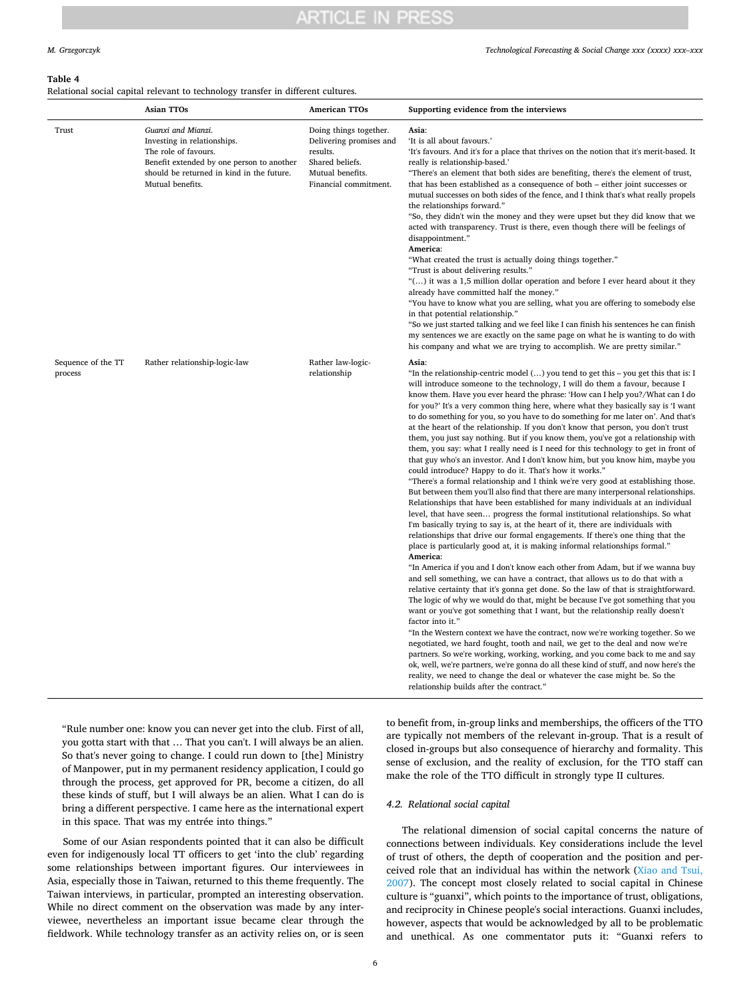### <span id="page-5-1"></span>**Table 4**

Relational social capital relevant to technology transfer in different cultures.

|                               | <b>Asian TTOs</b>                                                                                                                                                                       | <b>American TTOs</b>                                                                                                          | Supporting evidence from the interviews                                                                                                                                                                                                                                                                                                                                                                                                                                                                                                                                                                                                                                                                                                                                                                                                                                                                                                                                                                                                                                                                                                                                                                                                                                                                                                                                                                                                                                                                                                                                                                                                                                                                                                                                                                                                                                                                                                                                                                                                                                                                                                                                                                                                                                                                                                                                              |
|-------------------------------|-----------------------------------------------------------------------------------------------------------------------------------------------------------------------------------------|-------------------------------------------------------------------------------------------------------------------------------|--------------------------------------------------------------------------------------------------------------------------------------------------------------------------------------------------------------------------------------------------------------------------------------------------------------------------------------------------------------------------------------------------------------------------------------------------------------------------------------------------------------------------------------------------------------------------------------------------------------------------------------------------------------------------------------------------------------------------------------------------------------------------------------------------------------------------------------------------------------------------------------------------------------------------------------------------------------------------------------------------------------------------------------------------------------------------------------------------------------------------------------------------------------------------------------------------------------------------------------------------------------------------------------------------------------------------------------------------------------------------------------------------------------------------------------------------------------------------------------------------------------------------------------------------------------------------------------------------------------------------------------------------------------------------------------------------------------------------------------------------------------------------------------------------------------------------------------------------------------------------------------------------------------------------------------------------------------------------------------------------------------------------------------------------------------------------------------------------------------------------------------------------------------------------------------------------------------------------------------------------------------------------------------------------------------------------------------------------------------------------------------|
| Trust                         | Guanxi and Mianzi.<br>Investing in relationships.<br>The role of favours.<br>Benefit extended by one person to another<br>should be returned in kind in the future.<br>Mutual benefits. | Doing things together.<br>Delivering promises and<br>results.<br>Shared beliefs.<br>Mutual benefits.<br>Financial commitment. | Asia:<br>'It is all about favours.'<br>'It's favours. And it's for a place that thrives on the notion that it's merit-based. It<br>really is relationship-based.'<br>"There's an element that both sides are benefiting, there's the element of trust,<br>that has been established as a consequence of both – either joint successes or<br>mutual successes on both sides of the fence, and I think that's what really propels<br>the relationships forward."<br>"So, they didn't win the money and they were upset but they did know that we<br>acted with transparency. Trust is there, even though there will be feelings of<br>disappointment."<br>America:<br>"What created the trust is actually doing things together."<br>"Trust is about delivering results."<br>"() it was a 1,5 million dollar operation and before I ever heard about it they<br>already have committed half the money."<br>"You have to know what you are selling, what you are offering to somebody else<br>in that potential relationship."<br>"So we just started talking and we feel like I can finish his sentences he can finish<br>my sentences we are exactly on the same page on what he is wanting to do with<br>his company and what we are trying to accomplish. We are pretty similar."                                                                                                                                                                                                                                                                                                                                                                                                                                                                                                                                                                                                                                                                                                                                                                                                                                                                                                                                                                                                                                                                                                   |
| Sequence of the TT<br>process | Rather relationship-logic-law                                                                                                                                                           | Rather law-logic-<br>relationship                                                                                             | Asia:<br>"In the relationship-centric model () you tend to get this - you get this that is: I<br>will introduce someone to the technology, I will do them a favour, because I<br>know them. Have you ever heard the phrase: 'How can I help you?/What can I do<br>for you?' It's a very common thing here, where what they basically say is 'I want<br>to do something for you, so you have to do something for me later on'. And that's<br>at the heart of the relationship. If you don't know that person, you don't trust<br>them, you just say nothing. But if you know them, you've got a relationship with<br>them, you say: what I really need is I need for this technology to get in front of<br>that guy who's an investor. And I don't know him, but you know him, maybe you<br>could introduce? Happy to do it. That's how it works."<br>"There's a formal relationship and I think we're very good at establishing those.<br>But between them you'll also find that there are many interpersonal relationships.<br>Relationships that have been established for many individuals at an individual<br>level, that have seen progress the formal institutional relationships. So what<br>I'm basically trying to say is, at the heart of it, there are individuals with<br>relationships that drive our formal engagements. If there's one thing that the<br>place is particularly good at, it is making informal relationships formal."<br>America:<br>"In America if you and I don't know each other from Adam, but if we wanna buy<br>and sell something, we can have a contract, that allows us to do that with a<br>relative certainty that it's gonna get done. So the law of that is straightforward.<br>The logic of why we would do that, might be because I've got something that you<br>want or you've got something that I want, but the relationship really doesn't<br>factor into it."<br>"In the Western context we have the contract, now we're working together. So we<br>negotiated, we hard fought, tooth and nail, we get to the deal and now we're<br>partners. So we're working, working, working, and you come back to me and say<br>ok, well, we're partners, we're gonna do all these kind of stuff, and now here's the<br>reality, we need to change the deal or whatever the case might be. So the<br>relationship builds after the contract." |

"Rule number one: know you can never get into the club. First of all, you gotta start with that … That you can't. I will always be an alien. So that's never going to change. I could run down to [the] Ministry of Manpower, put in my permanent residency application, I could go through the process, get approved for PR, become a citizen, do all these kinds of stuff, but I will always be an alien. What I can do is bring a different perspective. I came here as the international expert in this space. That was my entrée into things."

Some of our Asian respondents pointed that it can also be difficult even for indigenously local TT officers to get 'into the club' regarding some relationships between important figures. Our interviewees in Asia, especially those in Taiwan, returned to this theme frequently. The Taiwan interviews, in particular, prompted an interesting observation. While no direct comment on the observation was made by any interviewee, nevertheless an important issue became clear through the fieldwork. While technology transfer as an activity relies on, or is seen

to benefit from, in-group links and memberships, the officers of the TTO are typically not members of the relevant in-group. That is a result of closed in-groups but also consequence of hierarchy and formality. This sense of exclusion, and the reality of exclusion, for the TTO staff can make the role of the TTO difficult in strongly type II cultures.

## <span id="page-5-0"></span>*4.2. Relational social capital*

The relational dimension of social capital concerns the nature of connections between individuals. Key considerations include the level of trust of others, the depth of cooperation and the position and perceived role that an individual has within the network ([Xiao and Tsui,](#page-9-46) [2007\)](#page-9-46). The concept most closely related to social capital in Chinese culture is "guanxi", which points to the importance of trust, obligations, and reciprocity in Chinese people's social interactions. Guanxi includes, however, aspects that would be acknowledged by all to be problematic and unethical. As one commentator puts it: "Guanxi refers to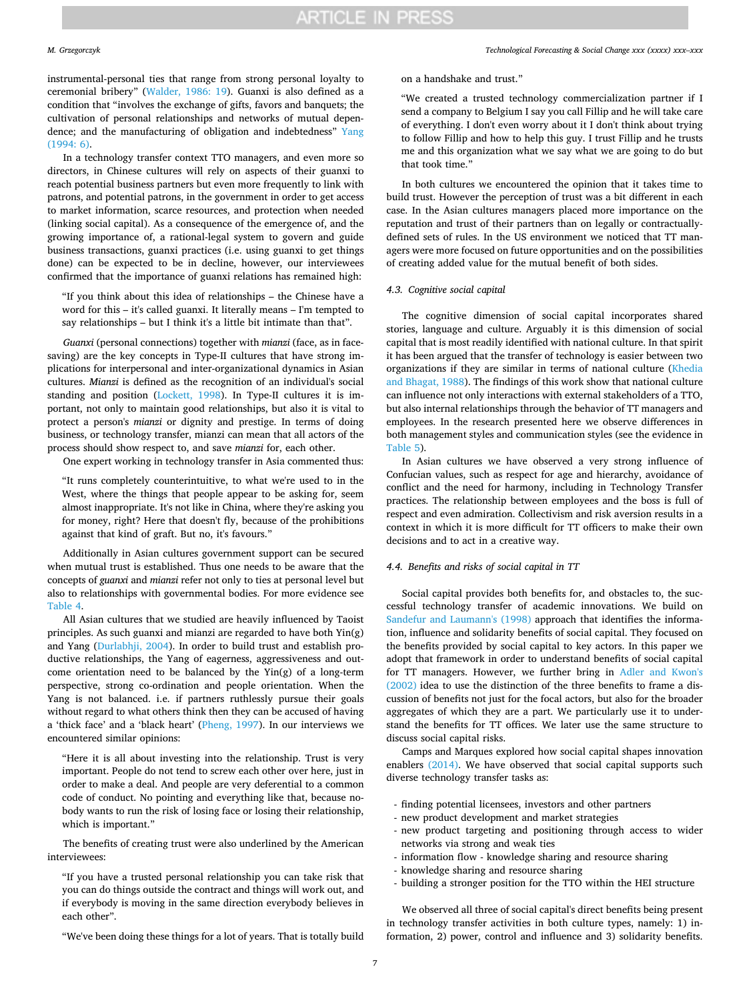instrumental-personal ties that range from strong personal loyalty to ceremonial bribery" [\(Walder, 1986: 19\)](#page-9-47). Guanxi is also defined as a condition that "involves the exchange of gifts, favors and banquets; the cultivation of personal relationships and networks of mutual dependence; and the manufacturing of obligation and indebtedness" [Yang](#page-9-45) [\(1994: 6\).](#page-9-45)

In a technology transfer context TTO managers, and even more so directors, in Chinese cultures will rely on aspects of their guanxi to reach potential business partners but even more frequently to link with patrons, and potential patrons, in the government in order to get access to market information, scarce resources, and protection when needed (linking social capital). As a consequence of the emergence of, and the growing importance of, a rational-legal system to govern and guide business transactions, guanxi practices (i.e. using guanxi to get things done) can be expected to be in decline, however, our interviewees confirmed that the importance of guanxi relations has remained high:

"If you think about this idea of relationships – the Chinese have a word for this – it's called guanxi. It literally means – I'm tempted to say relationships – but I think it's a little bit intimate than that".

*Guanxi* (personal connections) together with *mianzi* (face, as in facesaving) are the key concepts in Type-II cultures that have strong implications for interpersonal and inter-organizational dynamics in Asian cultures. *Mianzi* is defined as the recognition of an individual's social standing and position ([Lockett, 1998](#page-9-48)). In Type-II cultures it is important, not only to maintain good relationships, but also it is vital to protect a person's *mianzi* or dignity and prestige. In terms of doing business, or technology transfer, mianzi can mean that all actors of the process should show respect to, and save *mianzi* for, each other.

One expert working in technology transfer in Asia commented thus:

"It runs completely counterintuitive, to what we're used to in the West, where the things that people appear to be asking for, seem almost inappropriate. It's not like in China, where they're asking you for money, right? Here that doesn't fly, because of the prohibitions against that kind of graft. But no, it's favours."

Additionally in Asian cultures government support can be secured when mutual trust is established. Thus one needs to be aware that the concepts of *guanxi* and *mianzi* refer not only to ties at personal level but also to relationships with governmental bodies. For more evidence see [Table 4](#page-5-1).

All Asian cultures that we studied are heavily influenced by Taoist principles. As such guanxi and mianzi are regarded to have both Yin(g) and Yang [\(Durlabhji, 2004\)](#page-9-49). In order to build trust and establish productive relationships, the Yang of eagerness, aggressiveness and outcome orientation need to be balanced by the Yin(g) of a long-term perspective, strong co-ordination and people orientation. When the Yang is not balanced. i.e. if partners ruthlessly pursue their goals without regard to what others think then they can be accused of having a 'thick face' and a 'black heart' [\(Pheng, 1997](#page-9-50)). In our interviews we encountered similar opinions:

"Here it is all about investing into the relationship. Trust is very important. People do not tend to screw each other over here, just in order to make a deal. And people are very deferential to a common code of conduct. No pointing and everything like that, because nobody wants to run the risk of losing face or losing their relationship, which is important."

The benefits of creating trust were also underlined by the American interviewees:

"If you have a trusted personal relationship you can take risk that you can do things outside the contract and things will work out, and if everybody is moving in the same direction everybody believes in each other".

"We've been doing these things for a lot of years. That is totally build

on a handshake and trust."

"We created a trusted technology commercialization partner if I send a company to Belgium I say you call Fillip and he will take care of everything. I don't even worry about it I don't think about trying to follow Fillip and how to help this guy. I trust Fillip and he trusts me and this organization what we say what we are going to do but that took time."

In both cultures we encountered the opinion that it takes time to build trust. However the perception of trust was a bit different in each case. In the Asian cultures managers placed more importance on the reputation and trust of their partners than on legally or contractuallydefined sets of rules. In the US environment we noticed that TT managers were more focused on future opportunities and on the possibilities of creating added value for the mutual benefit of both sides.

## *4.3. Cognitive social capital*

The cognitive dimension of social capital incorporates shared stories, language and culture. Arguably it is this dimension of social capital that is most readily identified with national culture. In that spirit it has been argued that the transfer of technology is easier between two organizations if they are similar in terms of national culture [\(Khedia](#page-9-51) [and Bhagat, 1988](#page-9-51)). The findings of this work show that national culture can influence not only interactions with external stakeholders of a TTO, but also internal relationships through the behavior of TT managers and employees. In the research presented here we observe differences in both management styles and communication styles (see the evidence in [Table 5](#page-7-1)).

In Asian cultures we have observed a very strong influence of Confucian values, such as respect for age and hierarchy, avoidance of conflict and the need for harmony, including in Technology Transfer practices. The relationship between employees and the boss is full of respect and even admiration. Collectivism and risk aversion results in a context in which it is more difficult for TT officers to make their own decisions and to act in a creative way.

### *4.4. Benefits and risks of social capital in TT*

Social capital provides both benefits for, and obstacles to, the successful technology transfer of academic innovations. We build on [Sandefur and Laumann's \(1998\)](#page-9-52) approach that identifies the information, influence and solidarity benefits of social capital. They focused on the benefits provided by social capital to key actors. In this paper we adopt that framework in order to understand benefits of social capital for TT managers. However, we further bring in [Adler and Kwon's](#page-9-20) [\(2002\)](#page-9-20) idea to use the distinction of the three benefits to frame a discussion of benefits not just for the focal actors, but also for the broader aggregates of which they are a part. We particularly use it to understand the benefits for TT offices. We later use the same structure to discuss social capital risks.

Camps and Marques explored how social capital shapes innovation enablers [\(2014\).](#page-9-53) We have observed that social capital supports such diverse technology transfer tasks as:

- finding potential licensees, investors and other partners
- new product development and market strategies
- new product targeting and positioning through access to wider networks via strong and weak ties
- information flow knowledge sharing and resource sharing
- knowledge sharing and resource sharing
- building a stronger position for the TTO within the HEI structure

We observed all three of social capital's direct benefits being present in technology transfer activities in both culture types, namely: 1) information, 2) power, control and influence and 3) solidarity benefits.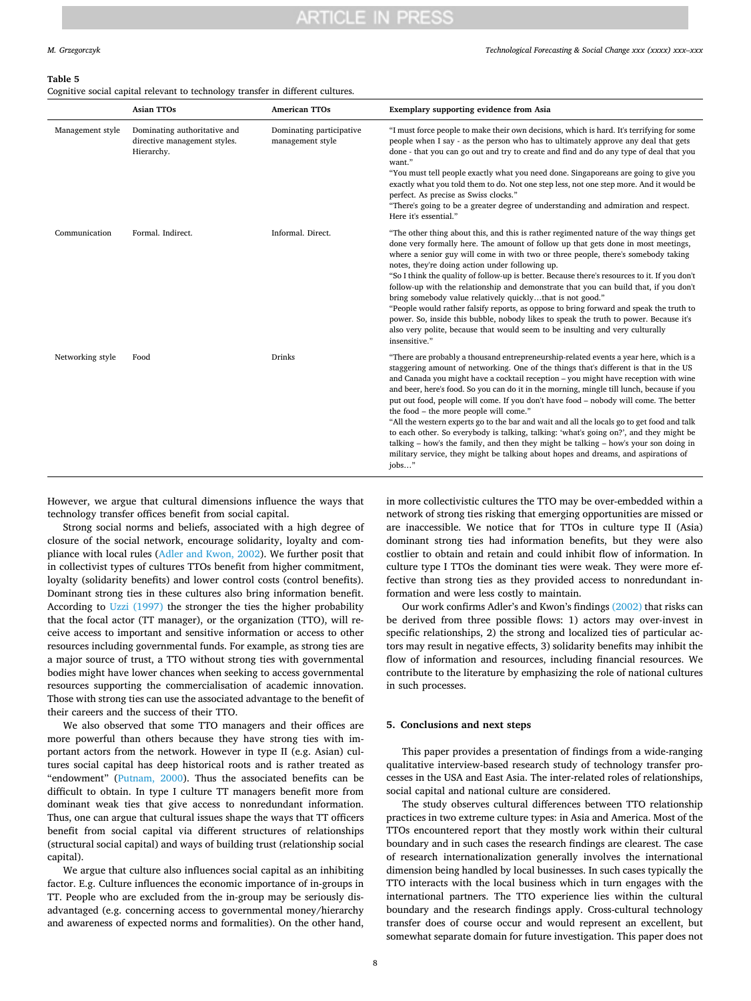### <span id="page-7-1"></span>**Table 5**

Cognitive social capital relevant to technology transfer in different cultures.

|                  | Asian TTOs                                                                 | <b>American TTOs</b>                         | Exemplary supporting evidence from Asia                                                                                                                                                                                                                                                                                                                                                                                                                                                                                                                                                                                                                                                                                                                                                                                                                                                      |
|------------------|----------------------------------------------------------------------------|----------------------------------------------|----------------------------------------------------------------------------------------------------------------------------------------------------------------------------------------------------------------------------------------------------------------------------------------------------------------------------------------------------------------------------------------------------------------------------------------------------------------------------------------------------------------------------------------------------------------------------------------------------------------------------------------------------------------------------------------------------------------------------------------------------------------------------------------------------------------------------------------------------------------------------------------------|
| Management style | Dominating authoritative and<br>directive management styles.<br>Hierarchy. | Dominating participative<br>management style | "I must force people to make their own decisions, which is hard. It's terrifying for some<br>people when I say - as the person who has to ultimately approve any deal that gets<br>done - that you can go out and try to create and find and do any type of deal that you<br>want."<br>"You must tell people exactly what you need done. Singaporeans are going to give you<br>exactly what you told them to do. Not one step less, not one step more. And it would be<br>perfect. As precise as Swiss clocks."<br>"There's going to be a greater degree of understanding and admiration and respect.<br>Here it's essential."                                                                                                                                                                                                                                                               |
| Communication    | Formal. Indirect.                                                          | Informal. Direct.                            | "The other thing about this, and this is rather regimented nature of the way things get<br>done very formally here. The amount of follow up that gets done in most meetings,<br>where a senior guy will come in with two or three people, there's somebody taking<br>notes, they're doing action under following up.<br>"So I think the quality of follow-up is better. Because there's resources to it. If you don't<br>follow-up with the relationship and demonstrate that you can build that, if you don't<br>bring somebody value relatively quicklythat is not good."<br>"People would rather falsify reports, as oppose to bring forward and speak the truth to<br>power. So, inside this bubble, nobody likes to speak the truth to power. Because it's<br>also very polite, because that would seem to be insulting and very culturally<br>insensitive."                            |
| Networking style | Food                                                                       | <b>Drinks</b>                                | "There are probably a thousand entrepreneurship-related events a year here, which is a<br>staggering amount of networking. One of the things that's different is that in the US<br>and Canada you might have a cocktail reception - you might have reception with wine<br>and beer, here's food. So you can do it in the morning, mingle till lunch, because if you<br>put out food, people will come. If you don't have food – nobody will come. The better<br>the food - the more people will come."<br>"All the western experts go to the bar and wait and all the locals go to get food and talk<br>to each other. So everybody is talking, talking: 'what's going on?', and they might be<br>talking $-$ how's the family, and then they might be talking $-$ how's your son doing in<br>military service, they might be talking about hopes and dreams, and aspirations of<br>$jobs$ " |

However, we argue that cultural dimensions influence the ways that technology transfer offices benefit from social capital.

Strong social norms and beliefs, associated with a high degree of closure of the social network, encourage solidarity, loyalty and compliance with local rules [\(Adler and Kwon, 2002](#page-9-20)). We further posit that in collectivist types of cultures TTOs benefit from higher commitment, loyalty (solidarity benefits) and lower control costs (control benefits). Dominant strong ties in these cultures also bring information benefit. According to [Uzzi \(1997\)](#page-9-54) the stronger the ties the higher probability that the focal actor (TT manager), or the organization (TTO), will receive access to important and sensitive information or access to other resources including governmental funds. For example, as strong ties are a major source of trust, a TTO without strong ties with governmental bodies might have lower chances when seeking to access governmental resources supporting the commercialisation of academic innovation. Those with strong ties can use the associated advantage to the benefit of their careers and the success of their TTO.

We also observed that some TTO managers and their offices are more powerful than others because they have strong ties with important actors from the network. However in type II (e.g. Asian) cultures social capital has deep historical roots and is rather treated as "endowment" ([Putnam, 2000](#page-9-55)). Thus the associated benefits can be difficult to obtain. In type I culture TT managers benefit more from dominant weak ties that give access to nonredundant information. Thus, one can argue that cultural issues shape the ways that TT officers benefit from social capital via different structures of relationships (structural social capital) and ways of building trust (relationship social capital).

We argue that culture also influences social capital as an inhibiting factor. E.g. Culture influences the economic importance of in-groups in TT. People who are excluded from the in-group may be seriously disadvantaged (e.g. concerning access to governmental money/hierarchy and awareness of expected norms and formalities). On the other hand,

in more collectivistic cultures the TTO may be over-embedded within a network of strong ties risking that emerging opportunities are missed or are inaccessible. We notice that for TTOs in culture type II (Asia) dominant strong ties had information benefits, but they were also costlier to obtain and retain and could inhibit flow of information. In culture type I TTOs the dominant ties were weak. They were more effective than strong ties as they provided access to nonredundant information and were less costly to maintain.

Our work confirms Adler's and Kwon's findings [\(2002\)](#page-9-20) that risks can be derived from three possible flows: 1) actors may over-invest in specific relationships, 2) the strong and localized ties of particular actors may result in negative effects, 3) solidarity benefits may inhibit the flow of information and resources, including financial resources. We contribute to the literature by emphasizing the role of national cultures in such processes.

### <span id="page-7-0"></span>**5. Conclusions and next steps**

This paper provides a presentation of findings from a wide-ranging qualitative interview-based research study of technology transfer processes in the USA and East Asia. The inter-related roles of relationships, social capital and national culture are considered.

The study observes cultural differences between TTO relationship practices in two extreme culture types: in Asia and America. Most of the TTOs encountered report that they mostly work within their cultural boundary and in such cases the research findings are clearest. The case of research internationalization generally involves the international dimension being handled by local businesses. In such cases typically the TTO interacts with the local business which in turn engages with the international partners. The TTO experience lies within the cultural boundary and the research findings apply. Cross-cultural technology transfer does of course occur and would represent an excellent, but somewhat separate domain for future investigation. This paper does not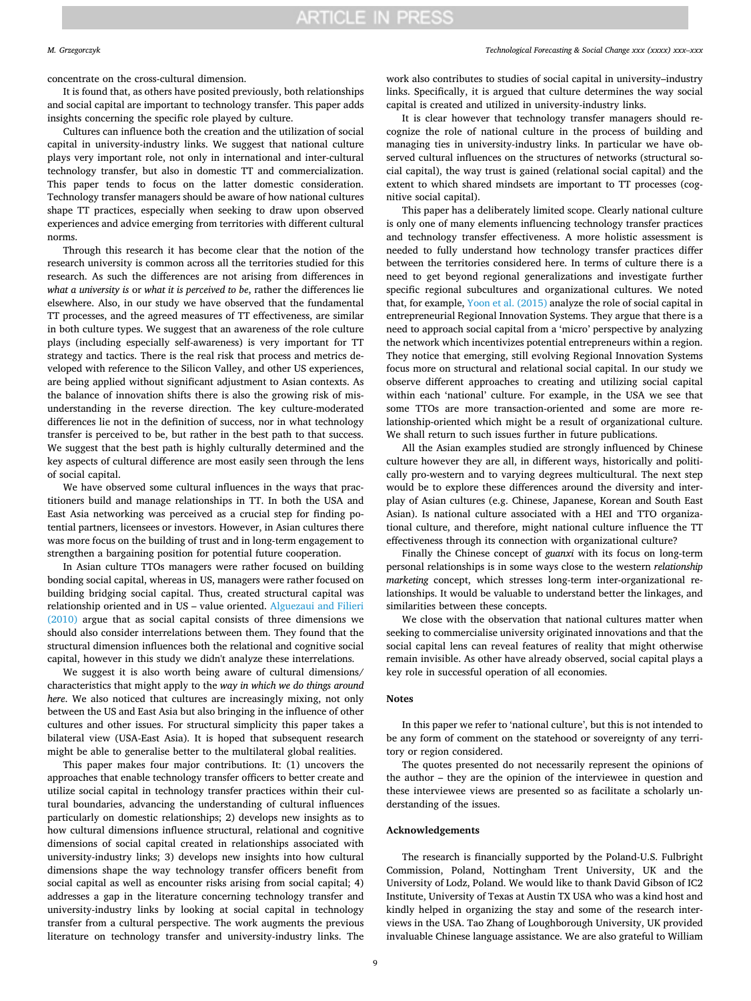concentrate on the cross-cultural dimension.

It is found that, as others have posited previously, both relationships and social capital are important to technology transfer. This paper adds insights concerning the specific role played by culture.

Cultures can influence both the creation and the utilization of social capital in university-industry links. We suggest that national culture plays very important role, not only in international and inter-cultural technology transfer, but also in domestic TT and commercialization. This paper tends to focus on the latter domestic consideration. Technology transfer managers should be aware of how national cultures shape TT practices, especially when seeking to draw upon observed experiences and advice emerging from territories with different cultural norms.

Through this research it has become clear that the notion of the research university is common across all the territories studied for this research. As such the differences are not arising from differences in *what a university is* or *what it is perceived to be*, rather the differences lie elsewhere. Also, in our study we have observed that the fundamental TT processes, and the agreed measures of TT effectiveness, are similar in both culture types. We suggest that an awareness of the role culture plays (including especially self-awareness) is very important for TT strategy and tactics. There is the real risk that process and metrics developed with reference to the Silicon Valley, and other US experiences, are being applied without significant adjustment to Asian contexts. As the balance of innovation shifts there is also the growing risk of misunderstanding in the reverse direction. The key culture-moderated differences lie not in the definition of success, nor in what technology transfer is perceived to be, but rather in the best path to that success. We suggest that the best path is highly culturally determined and the key aspects of cultural difference are most easily seen through the lens of social capital.

We have observed some cultural influences in the ways that practitioners build and manage relationships in TT. In both the USA and East Asia networking was perceived as a crucial step for finding potential partners, licensees or investors. However, in Asian cultures there was more focus on the building of trust and in long-term engagement to strengthen a bargaining position for potential future cooperation.

In Asian culture TTOs managers were rather focused on building bonding social capital, whereas in US, managers were rather focused on building bridging social capital. Thus, created structural capital was relationship oriented and in US – value oriented. [Alguezaui and Filieri](#page-9-56) [\(2010\)](#page-9-56) argue that as social capital consists of three dimensions we should also consider interrelations between them. They found that the structural dimension influences both the relational and cognitive social capital, however in this study we didn't analyze these interrelations.

We suggest it is also worth being aware of cultural dimensions/ characteristics that might apply to the *way in which we do things around here*. We also noticed that cultures are increasingly mixing, not only between the US and East Asia but also bringing in the influence of other cultures and other issues. For structural simplicity this paper takes a bilateral view (USA-East Asia). It is hoped that subsequent research might be able to generalise better to the multilateral global realities.

This paper makes four major contributions. It: (1) uncovers the approaches that enable technology transfer officers to better create and utilize social capital in technology transfer practices within their cultural boundaries, advancing the understanding of cultural influences particularly on domestic relationships; 2) develops new insights as to how cultural dimensions influence structural, relational and cognitive dimensions of social capital created in relationships associated with university-industry links; 3) develops new insights into how cultural dimensions shape the way technology transfer officers benefit from social capital as well as encounter risks arising from social capital; 4) addresses a gap in the literature concerning technology transfer and university-industry links by looking at social capital in technology transfer from a cultural perspective. The work augments the previous literature on technology transfer and university-industry links. The

work also contributes to studies of social capital in university–industry links. Specifically, it is argued that culture determines the way social capital is created and utilized in university-industry links.

It is clear however that technology transfer managers should recognize the role of national culture in the process of building and managing ties in university-industry links. In particular we have observed cultural influences on the structures of networks (structural social capital), the way trust is gained (relational social capital) and the extent to which shared mindsets are important to TT processes (cognitive social capital).

This paper has a deliberately limited scope. Clearly national culture is only one of many elements influencing technology transfer practices and technology transfer effectiveness. A more holistic assessment is needed to fully understand how technology transfer practices differ between the territories considered here. In terms of culture there is a need to get beyond regional generalizations and investigate further specific regional subcultures and organizational cultures. We noted that, for example, [Yoon et al. \(2015\)](#page-9-13) analyze the role of social capital in entrepreneurial Regional Innovation Systems. They argue that there is a need to approach social capital from a 'micro' perspective by analyzing the network which incentivizes potential entrepreneurs within a region. They notice that emerging, still evolving Regional Innovation Systems focus more on structural and relational social capital. In our study we observe different approaches to creating and utilizing social capital within each 'national' culture. For example, in the USA we see that some TTOs are more transaction-oriented and some are more relationship-oriented which might be a result of organizational culture. We shall return to such issues further in future publications.

All the Asian examples studied are strongly influenced by Chinese culture however they are all, in different ways, historically and politically pro-western and to varying degrees multicultural. The next step would be to explore these differences around the diversity and interplay of Asian cultures (e.g. Chinese, Japanese, Korean and South East Asian). Is national culture associated with a HEI and TTO organizational culture, and therefore, might national culture influence the TT effectiveness through its connection with organizational culture?

Finally the Chinese concept of *guanxi* with its focus on long-term personal relationships is in some ways close to the western *relationship marketing* concept, which stresses long-term inter-organizational relationships. It would be valuable to understand better the linkages, and similarities between these concepts.

We close with the observation that national cultures matter when seeking to commercialise university originated innovations and that the social capital lens can reveal features of reality that might otherwise remain invisible. As other have already observed, social capital plays a key role in successful operation of all economies.

### **Notes**

In this paper we refer to 'national culture', but this is not intended to be any form of comment on the statehood or sovereignty of any territory or region considered.

The quotes presented do not necessarily represent the opinions of the author – they are the opinion of the interviewee in question and these interviewee views are presented so as facilitate a scholarly understanding of the issues.

## **Acknowledgements**

The research is financially supported by the Poland-U.S. Fulbright Commission, Poland, Nottingham Trent University, UK and the University of Lodz, Poland. We would like to thank David Gibson of IC2 Institute, University of Texas at Austin TX USA who was a kind host and kindly helped in organizing the stay and some of the research interviews in the USA. Tao Zhang of Loughborough University, UK provided invaluable Chinese language assistance. We are also grateful to William